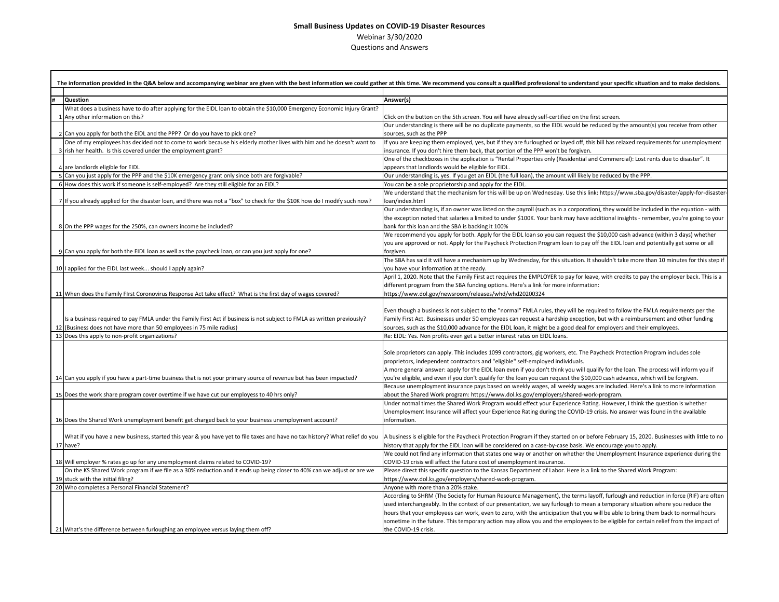## **Small Business Updates on COVID-19 Disaster Resources** Webinar 3/30/2020 Questions and Answers

|                                                                                                                                      | The information provided in the Q&A below and accompanying webinar are given with the best information we could gather at this time. We recommend you consult a qualified professional to understand your specific situation a |
|--------------------------------------------------------------------------------------------------------------------------------------|--------------------------------------------------------------------------------------------------------------------------------------------------------------------------------------------------------------------------------|
|                                                                                                                                      |                                                                                                                                                                                                                                |
| Question<br>What does a business have to do after applying for the EIDL loan to obtain the \$10,000 Emergency Economic Injury Grant? | Answer(s)                                                                                                                                                                                                                      |
| 1 Any other information on this?                                                                                                     | Click on the button on the 5th screen. You will have already self-certified on the first screen.                                                                                                                               |
|                                                                                                                                      | Our understanding is there will be no duplicate payments, so the EIDL would be reduced by the amount(s) you receive from other                                                                                                 |
| 2 Can you apply for both the EIDL and the PPP? Or do you have to pick one?                                                           | sources, such as the PPP                                                                                                                                                                                                       |
| One of my employees has decided not to come to work because his elderly mother lives with him and he doesn't want to                 | If you are keeping them employed, yes, but if they are furloughed or layed off, this bill has relaxed requirements for unemployment                                                                                            |
| 3 rish her health. Is this covered under the employment grant?                                                                       | insurance. If you don't hire them back, that portion of the PPP won't be forgiven.                                                                                                                                             |
|                                                                                                                                      | One of the checkboxes in the application is "Rental Properties only (Residential and Commercial): Lost rents due to disaster". It                                                                                              |
| 4 are landlords eligible for EIDL                                                                                                    | appears that landlords would be eligible for EIDL.                                                                                                                                                                             |
| 5 Can you just apply for the PPP and the \$10K emergency grant only since both are forgivable?                                       | Our understanding is, yes. If you get an EIDL (the full loan), the amount will likely be reduced by the PPP.                                                                                                                   |
| 6 How does this work if someone is self-employed? Are they still eligible for an EIDL?                                               | You can be a sole proprietorship and apply for the EIDL.                                                                                                                                                                       |
|                                                                                                                                      | We understand that the mechanism for this will be up on Wednesday. Use this link: https://www.sba.gov/disaster/apply-for-disaster-                                                                                             |
| 7 If you already applied for the disaster loan, and there was not a "box" to check for the \$10K how do I modify such now?           | loan/index.html                                                                                                                                                                                                                |
|                                                                                                                                      | Our understanding is, if an owner was listed on the payroll (such as in a corporation), they would be included in the equation - with                                                                                          |
|                                                                                                                                      | the exception noted that salaries a limited to under \$100K. Your bank may have additional insights - remember, you're going to your                                                                                           |
| 8 On the PPP wages for the 250%, can owners income be included?                                                                      | bank for this loan and the SBA is backing it 100%<br>We recommend you apply for both. Apply for the EIDL loan so you can request the \$10,000 cash advance (within 3 days) whether                                             |
|                                                                                                                                      | you are approved or not. Apply for the Paycheck Protection Program loan to pay off the EIDL loan and potentially get some or all                                                                                               |
| 9 Can you apply for both the EIDL loan as well as the paycheck loan, or can you just apply for one?                                  | forgiven.                                                                                                                                                                                                                      |
|                                                                                                                                      | The SBA has said it will have a mechanism up by Wednesday, for this situation. It shouldn't take more than 10 minutes for this step if                                                                                         |
| 10 I applied for the EIDL last week should I apply again?                                                                            | you have your information at the ready.                                                                                                                                                                                        |
|                                                                                                                                      | April 1, 2020. Note that the Family First act requires the EMPLOYER to pay for leave, with credits to pay the employer back. This is a                                                                                         |
|                                                                                                                                      | different program from the SBA funding options. Here's a link for more information:                                                                                                                                            |
| 11 When does the Family First Coronovirus Response Act take effect? What is the first day of wages covered?                          | https://www.dol.gov/newsroom/releases/whd/whd20200324                                                                                                                                                                          |
|                                                                                                                                      |                                                                                                                                                                                                                                |
|                                                                                                                                      | Even though a business is not subject to the "normal" FMLA rules, they will be required to follow the FMLA requirements per the                                                                                                |
| Is a business required to pay FMLA under the Family First Act if business is not subject to FMLA as written previously?              | Family First Act. Businesses under 50 employees can request a hardship exception, but with a reimbursement and other funding                                                                                                   |
| 12 (Business does not have more than 50 employees in 75 mile radius)                                                                 | sources, such as the \$10,000 advance for the EIDL loan, it might be a good deal for employers and their employees.                                                                                                            |
| 13 Does this apply to non-profit organizations?                                                                                      | Re: EIDL: Yes. Non profits even get a better interest rates on EIDL loans.                                                                                                                                                     |
|                                                                                                                                      | Sole proprietors can apply. This includes 1099 contractors, gig workers, etc. The Paycheck Protection Program includes sole                                                                                                    |
|                                                                                                                                      | proprietors, independent contractors and "eligible" self-employed individuals.                                                                                                                                                 |
|                                                                                                                                      | A more general answer: apply for the EIDL loan even if you don't think you will qualify for the loan. The process will inform you if                                                                                           |
| 14 Can you apply if you have a part-time business that is not your primary source of revenue but has been impacted?                  | you're eligible, and even if you don't qualify for the loan you can request the \$10,000 cash advance, which will be forgiven.                                                                                                 |
|                                                                                                                                      | Because unemployment insurance pays based on weekly wages, all weekly wages are included. Here's a link to more information                                                                                                    |
| 15 Does the work share program cover overtime if we have cut our employess to 40 hrs only?                                           | about the Shared Work program: https://www.dol.ks.gov/employers/shared-work-program.                                                                                                                                           |
|                                                                                                                                      | Under notmal times the Shared Work Program would effect your Experience Rating. However, I think the question is whether                                                                                                       |
|                                                                                                                                      | Unemployment Insurance will affect your Experience Rating during the COVID-19 crisis. No answer was found in the available                                                                                                     |
| 16 Does the Shared Work unemployment benefit get charged back to your business unemployment account?                                 | information.                                                                                                                                                                                                                   |
|                                                                                                                                      |                                                                                                                                                                                                                                |
| What if you have a new business, started this year & you have yet to file taxes and have no tax history? What relief do you          | A business is eligible for the Paycheck Protection Program if they started on or before February 15, 2020. Businesses with little to no                                                                                        |
| 17 have?                                                                                                                             | history that apply for the EIDL loan will be considered on a case-by-case basis. We encourage you to apply.                                                                                                                    |
| 18 Will employer % rates go up for any unemployment claims related to COVID-19?                                                      | We could not find any information that states one way or another on whether the Unemployment Insurance experience during the<br>COVID-19 crisis will affect the future cost of unemployment insurance.                         |
| On the KS Shared Work program if we file as a 30% reduction and it ends up being closer to 40% can we adjust or are we               | Please direct this specific question to the Kansas Department of Labor. Here is a link to the Shared Work Program:                                                                                                             |
| 19 stuck with the initial filing?                                                                                                    | https://www.dol.ks.gov/employers/shared-work-program.                                                                                                                                                                          |
| 20 Who completes a Personal Financial Statement?                                                                                     | Anyone with more than a 20% stake.                                                                                                                                                                                             |
|                                                                                                                                      | According to SHRM (The Society for Human Resource Management), the terms layoff, furlough and reduction in force (RIF) are often                                                                                               |
|                                                                                                                                      | used interchangeably. In the context of our presentation, we say furlough to mean a temporary situation where you reduce the                                                                                                   |
|                                                                                                                                      | hours that your employees can work, even to zero, with the anticipation that you will be able to bring them back to normal hours                                                                                               |
|                                                                                                                                      | sometime in the future. This temporary action may allow you and the employees to be eligible for certain relief from the impact of                                                                                             |
| 21 What's the difference between furloughing an employee versus laying them off?                                                     | the COVID-19 crisis.                                                                                                                                                                                                           |